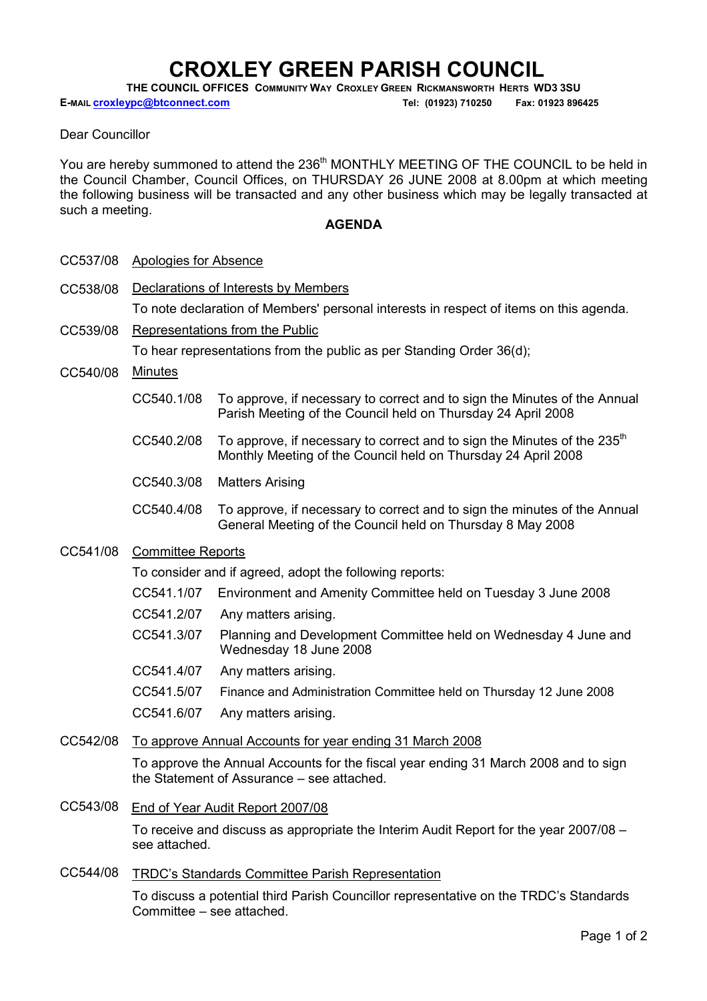# ROXLEY GREEN PARISH COUNCIL:

THE COUNCIL OFFICES COMMUNITY WAY CROXLEY GREEN RICKMANSWORTH HERTS WD3 3SU

E-MAIL croxleypc@btconnect.com Tel: (01923) 710250 Fax: 01923 896425

#### Dear Councillor

You are hereby summoned to attend the 236<sup>th</sup> MONTHLY MEETING OF THE COUNCIL to be held in the Council Chamber, Council Offices, on THURSDAY 26 JUNE 2008 at 8.00pm at which meeting the following business will be transacted and any other business which may be legally transacted at such a meeting.

#### **AGENDA**

|  | CC537/08 | Apologies for Absence |
|--|----------|-----------------------|
|--|----------|-----------------------|

CC538/08 Declarations of Interests by Members

To note declaration of Members' personal interests in respect of items on this agenda.

CC539/08 Representations from the Public

To hear representations from the public as per Standing Order 36(d);

- CC540/08 Minutes
	- CC540.1/08 To approve, if necessary to correct and to sign the Minutes of the Annual Parish Meeting of the Council held on Thursday 24 April 2008
	- CC540.2/08 To approve, if necessary to correct and to sign the Minutes of the 235<sup>th</sup> Monthly Meeting of the Council held on Thursday 24 April 2008
	- CC540.3/08 Matters Arising
	- CC540.4/08 To approve, if necessary to correct and to sign the minutes of the Annual General Meeting of the Council held on Thursday 8 May 2008

#### CC541/08 Committee Reports

To consider and if agreed, adopt the following reports:

- CC541.1/07 Environment and Amenity Committee held on Tuesday 3 June 2008
- CC541.2/07 Any matters arising.
- CC541.3/07 Planning and Development Committee held on Wednesday 4 June and Wednesday 18 June 2008
- CC541.4/07 Any matters arising.
- CC541.5/07 Finance and Administration Committee held on Thursday 12 June 2008

CC541.6/07 Any matters arising.

### CC542/08 To approve Annual Accounts for year ending 31 March 2008

To approve the Annual Accounts for the fiscal year ending 31 March 2008 and to sign the Statement of Assurance – see attached.

CC543/08 End of Year Audit Report 2007/08

To receive and discuss as appropriate the Interim Audit Report for the year 2007/08 – see attached.

CC544/08 TRDC's Standards Committee Parish Representation

To discuss a potential third Parish Councillor representative on the TRDC's Standards Committee – see attached.